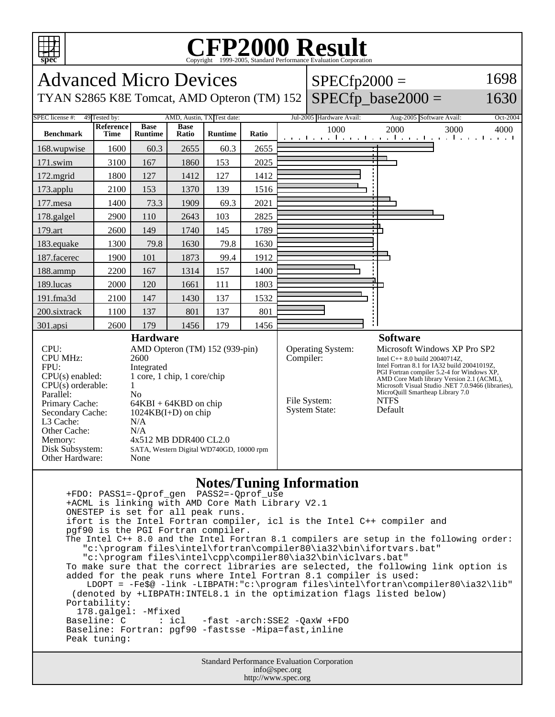

## **Notes/Tuning Information**

 +FDO: PASS1=-Qprof\_gen PASS2=-Qprof\_use +ACML is linking with AMD Core Math Library V2.1 ONESTEP is set for all peak runs. ifort is the Intel Fortran compiler, icl is the Intel C++ compiler and pgf90 is the PGI Fortran compiler. The Intel C++ 8.0 and the Intel Fortran 8.1 compilers are setup in the following order: "c:\program files\intel\fortran\compiler80\ia32\bin\ifortvars.bat" "c:\program files\intel\cpp\compiler80\ia32\bin\iclvars.bat" To make sure that the correct libraries are selected, the following link option is added for the peak runs where Intel Fortran 8.1 compiler is used: LDOPT = -Fe\$@ -link -LIBPATH:"c:\program files\intel\fortran\compiler80\ia32\lib" (denoted by +LIBPATH:INTEL8.1 in the optimization flags listed below) Portability: 178.galgel: -Mfixed<br>Baseline: C : icl -fast -arch: SSE2 -QaxW +FDO Baseline: Fortran: pgf90 -fastsse -Mipa=fast,inline Peak tuning:

Standard Performance Evaluation Corporation info@spec.org http://www.spec.org